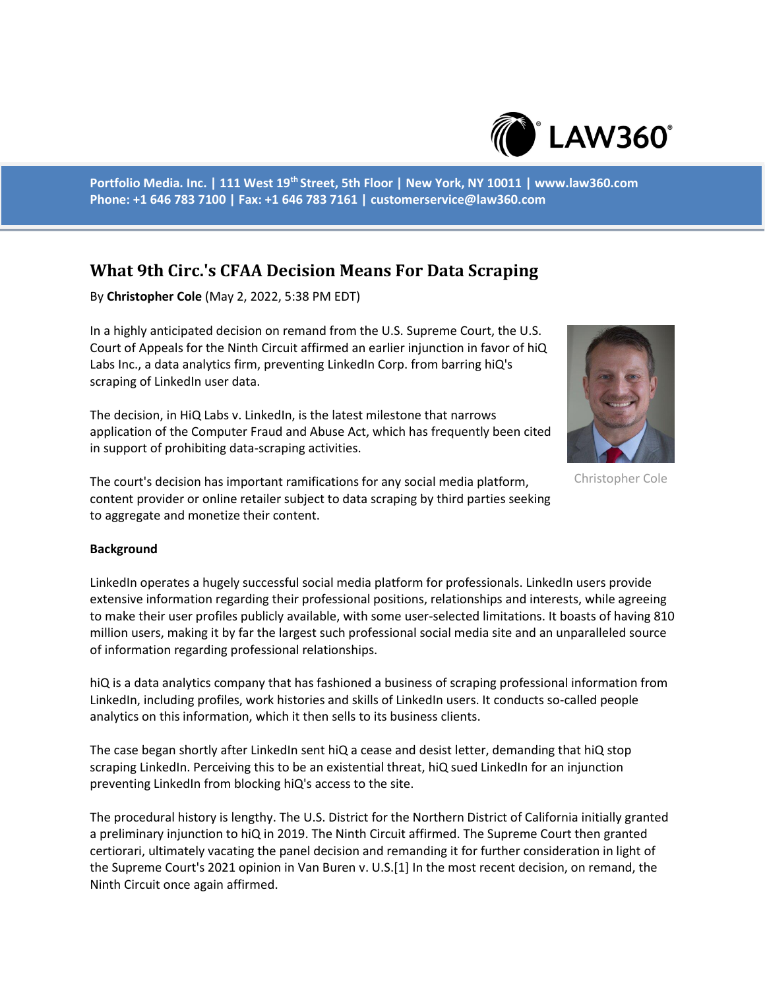

**Portfolio Media. Inc. | 111 West 19th Street, 5th Floor | New York, NY 10011 | www.law360.com Phone: +1 646 783 7100 | Fax: +1 646 783 7161 | customerservice@law360.com**

## **What 9th Circ.'s CFAA Decision Means For Data Scraping**

By **Christopher Cole** (May 2, 2022, 5:38 PM EDT)

In a highly anticipated decision on remand from the U.S. Supreme Court, the U.S. Court of Appeals for the Ninth Circuit affirmed an earlier injunction in favor of hiQ Labs Inc., a data analytics firm, preventing LinkedIn Corp. from barring hiQ's scraping of LinkedIn user data.

The decision, in HiQ Labs v. LinkedIn, is the latest milestone that narrows application of the Computer Fraud and Abuse Act, which has frequently been cited in support of prohibiting data-scraping activities.

The court's decision has important ramifications for any social media platform, content provider or online retailer subject to data scraping by third parties seeking to aggregate and monetize their content.



Christopher Cole

## **Background**

LinkedIn operates a hugely successful social media platform for professionals. LinkedIn users provide extensive information regarding their professional positions, relationships and interests, while agreeing to make their user profiles publicly available, with some user-selected limitations. It boasts of having 810 million users, making it by far the largest such professional social media site and an unparalleled source of information regarding professional relationships.

hiQ is a data analytics company that has fashioned a business of scraping professional information from LinkedIn, including profiles, work histories and skills of LinkedIn users. It conducts so-called people analytics on this information, which it then sells to its business clients.

The case began shortly after LinkedIn sent hiQ a cease and desist letter, demanding that hiQ stop scraping LinkedIn. Perceiving this to be an existential threat, hiQ sued LinkedIn for an injunction preventing LinkedIn from blocking hiQ's access to the site.

The procedural history is lengthy. The U.S. District for the Northern District of California initially granted a preliminary injunction to hiQ in 2019. The Ninth Circuit affirmed. The Supreme Court then granted certiorari, ultimately vacating the panel decision and remanding it for further consideration in light of the Supreme Court's 2021 opinion in Van Buren v. U.S.[1] In the most recent decision, on remand, the Ninth Circuit once again affirmed.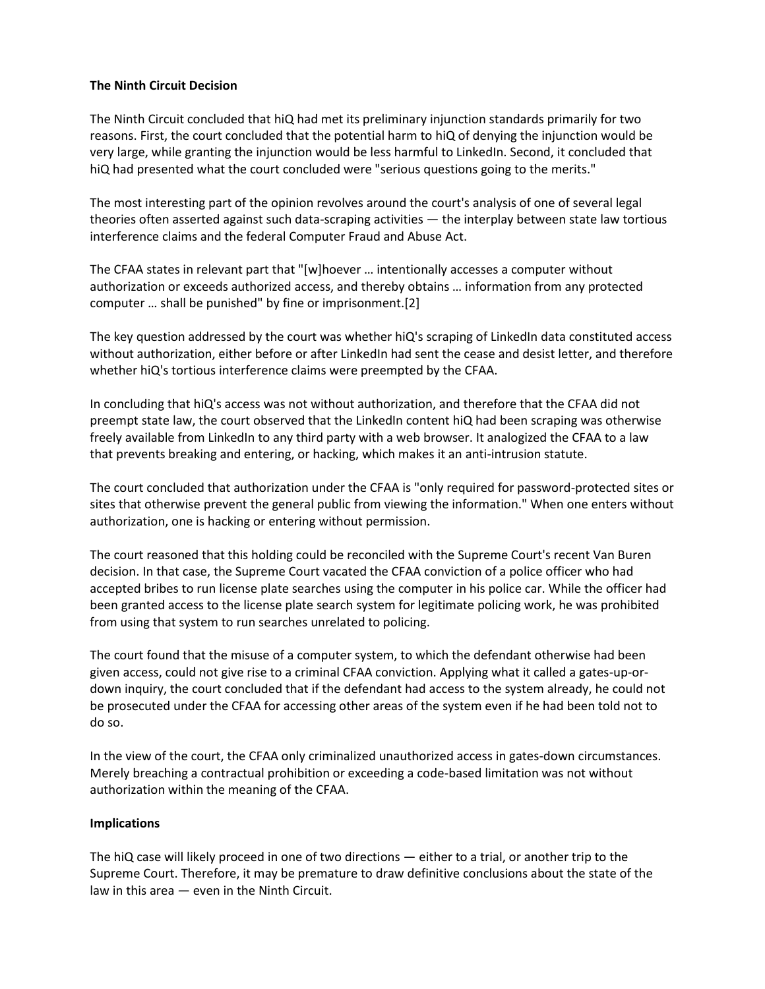## **The Ninth Circuit Decision**

The Ninth Circuit concluded that hiQ had met its preliminary injunction standards primarily for two reasons. First, the court concluded that the potential harm to hiQ of denying the injunction would be very large, while granting the injunction would be less harmful to LinkedIn. Second, it concluded that hiQ had presented what the court concluded were "serious questions going to the merits."

The most interesting part of the opinion revolves around the court's analysis of one of several legal theories often asserted against such data-scraping activities — the interplay between state law tortious interference claims and the federal Computer Fraud and Abuse Act.

The CFAA states in relevant part that "[w]hoever … intentionally accesses a computer without authorization or exceeds authorized access, and thereby obtains … information from any protected computer … shall be punished" by fine or imprisonment.[2]

The key question addressed by the court was whether hiQ's scraping of LinkedIn data constituted access without authorization, either before or after LinkedIn had sent the cease and desist letter, and therefore whether hiQ's tortious interference claims were preempted by the CFAA.

In concluding that hiQ's access was not without authorization, and therefore that the CFAA did not preempt state law, the court observed that the LinkedIn content hiQ had been scraping was otherwise freely available from LinkedIn to any third party with a web browser. It analogized the CFAA to a law that prevents breaking and entering, or hacking, which makes it an anti-intrusion statute.

The court concluded that authorization under the CFAA is "only required for password-protected sites or sites that otherwise prevent the general public from viewing the information." When one enters without authorization, one is hacking or entering without permission.

The court reasoned that this holding could be reconciled with the Supreme Court's recent Van Buren decision. In that case, the Supreme Court vacated the CFAA conviction of a police officer who had accepted bribes to run license plate searches using the computer in his police car. While the officer had been granted access to the license plate search system for legitimate policing work, he was prohibited from using that system to run searches unrelated to policing.

The court found that the misuse of a computer system, to which the defendant otherwise had been given access, could not give rise to a criminal CFAA conviction. Applying what it called a gates-up-ordown inquiry, the court concluded that if the defendant had access to the system already, he could not be prosecuted under the CFAA for accessing other areas of the system even if he had been told not to do so.

In the view of the court, the CFAA only criminalized unauthorized access in gates-down circumstances. Merely breaching a contractual prohibition or exceeding a code-based limitation was not without authorization within the meaning of the CFAA.

## **Implications**

The hiQ case will likely proceed in one of two directions — either to a trial, or another trip to the Supreme Court. Therefore, it may be premature to draw definitive conclusions about the state of the law in this area — even in the Ninth Circuit.